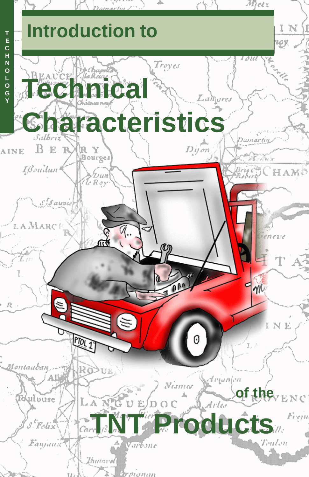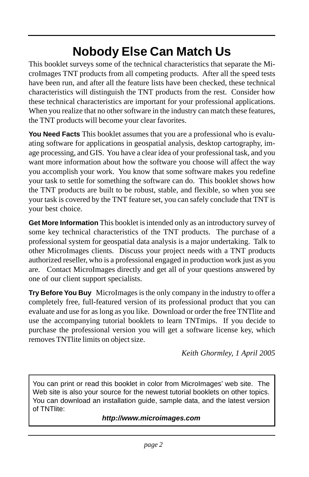## **Nobody Else Can Match Us**

This booklet surveys some of the technical characteristics that separate the MicroImages TNT products from all competing products. After all the speed tests have been run, and after all the feature lists have been checked, these technical characteristics will distinguish the TNT products from the rest. Consider how these technical characteristics are important for your professional applications. When you realize that no other software in the industry can match these features, the TNT products will become your clear favorites.

**You Need Facts** This booklet assumes that you are a professional who is evaluating software for applications in geospatial analysis, desktop cartography, image processing, and GIS. You have a clear idea of your professional task, and you want more information about how the software you choose will affect the way you accomplish your work. You know that some software makes you redefine your task to settle for something the software can do. This booklet shows how the TNT products are built to be robust, stable, and flexible, so when you see your task is covered by the TNT feature set, you can safely conclude that TNT is your best choice.

**Get More Information** This booklet is intended only as an introductory survey of some key technical characteristics of the TNT products. The purchase of a professional system for geospatial data analysis is a major undertaking. Talk to other MicroImages clients. Discuss your project needs with a TNT products authorized reseller, who is a professional engaged in production work just as you are. Contact MicroImages directly and get all of your questions answered by one of our client support specialists.

**Try Before You Buy** MicroImages is the only company in the industry to offer a completely free, full-featured version of its professional product that you can evaluate and use for as long as you like. Download or order the free TNTlite and use the accompanying tutorial booklets to learn TNTmips. If you decide to purchase the professional version you will get a software license key, which removes TNTlite limits on object size.

*Keith Ghormley, 1 April 2005*

You can print or read this booklet in color from MicroImages' web site. The Web site is also your source for the newest tutorial booklets on other topics. You can download an installation guide, sample data, and the latest version of TNTlite:

#### *http://www.microimages.com*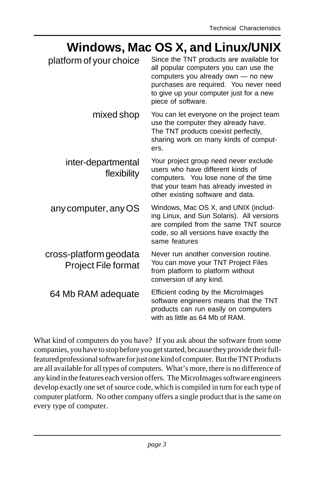#### **Windows, Mac OS X, and Linux/UNIX**

| platform of your choice                              | Since the TNT products are available for<br>all popular computers you can use the<br>computers you already own - no new<br>purchases are required. You never need<br>to give up your computer just for a new<br>piece of software. |
|------------------------------------------------------|------------------------------------------------------------------------------------------------------------------------------------------------------------------------------------------------------------------------------------|
| mixed shop                                           | You can let everyone on the project team<br>use the computer they already have.<br>The TNT products coexist perfectly,<br>sharing work on many kinds of comput-<br>ers.                                                            |
| inter-departmental<br>flexibility                    | Your project group need never exclude<br>users who have different kinds of<br>computers. You lose none of the time<br>that your team has already invested in<br>other existing software and data.                                  |
| any computer, any OS                                 | Windows, Mac OS X, and UNIX (includ-<br>ing Linux, and Sun Solaris). All versions<br>are compiled from the same TNT source<br>code, so all versions have exactly the<br>same features                                              |
| cross-platform geodata<br><b>Project File format</b> | Never run another conversion routine.<br>You can move your TNT Project Files<br>from platform to platform without<br>conversion of any kind.                                                                                       |
| 64 Mb RAM adequate                                   | Efficient coding by the Microlmages<br>software engineers means that the TNT<br>products can run easily on computers<br>with as little as 64 Mb of RAM.                                                                            |

What kind of computers do you have? If you ask about the software from some companies, you have to stop before you get started, because they provide their fullfeatured professional software for just one kind of computer. But the TNT Products are all available for all types of computers. What's more, there is no difference of any kind in the features each version offers. The MicroImages software engineers develop exactly one set of source code, which is compiled in turn for each type of computer platform. No other company offers a single product that is the same on every type of computer.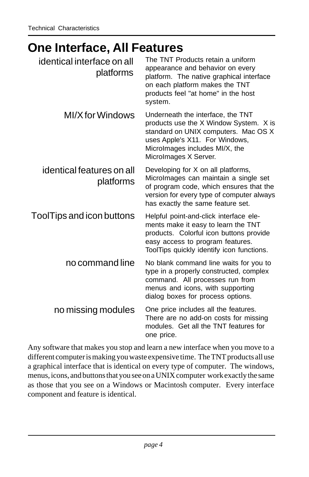#### **One Interface, All Features**

| identical interface on all<br>platforms | The TNT Products retain a uniform<br>appearance and behavior on every<br>platform. The native graphical interface<br>on each platform makes the TNT<br>products feel "at home" in the host<br>system.            |
|-----------------------------------------|------------------------------------------------------------------------------------------------------------------------------------------------------------------------------------------------------------------|
| MI/X for Windows                        | Underneath the interface, the TNT<br>products use the X Window System. X is<br>standard on UNIX computers. Mac OS X<br>uses Apple's X11. For Windows,<br>Microlmages includes MI/X, the<br>Microlmages X Server. |
| identical features on all<br>platforms  | Developing for X on all platforms,<br>Microlmages can maintain a single set<br>of program code, which ensures that the<br>version for every type of computer always<br>has exactly the same feature set.         |
| ToolTips and icon buttons               | Helpful point-and-click interface ele-<br>ments make it easy to learn the TNT<br>products. Colorful icon buttons provide<br>easy access to program features.<br>ToolTips quickly identify icon functions.        |
| no command line                         | No blank command line waits for you to<br>type in a properly constructed, complex<br>command. All processes run from<br>menus and icons, with supporting<br>dialog boxes for process options.                    |
| no missing modules                      | One price includes all the features.<br>There are no add-on costs for missing<br>modules. Get all the TNT features for<br>one price.                                                                             |

Any software that makes you stop and learn a new interface when you move to a different computer is making you waste expensive time. The TNT products all use a graphical interface that is identical on every type of computer. The windows, menus, icons, and buttons that you see on a UNIX computer work exactly the same as those that you see on a Windows or Macintosh computer. Every interface component and feature is identical.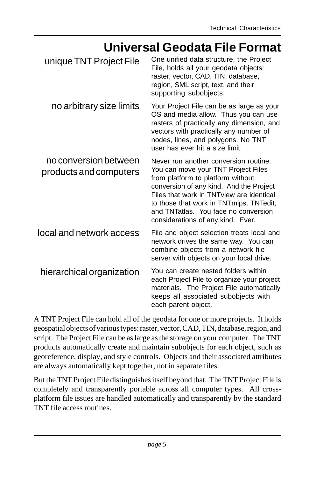#### **Universal Geodata File Format**

| unique TNT Project File                         | One unified data structure, the Project<br>File, holds all your geodata objects:<br>raster, vector, CAD, TIN, database,<br>region, SML script, text, and their<br>supporting subobjects.                                                                                                                                          |
|-------------------------------------------------|-----------------------------------------------------------------------------------------------------------------------------------------------------------------------------------------------------------------------------------------------------------------------------------------------------------------------------------|
| no arbitrary size limits                        | Your Project File can be as large as your<br>OS and media allow. Thus you can use<br>rasters of practically any dimension, and<br>vectors with practically any number of<br>nodes, lines, and polygons. No TNT<br>user has ever hit a size limit.                                                                                 |
| no conversion between<br>products and computers | Never run another conversion routine.<br>You can move your TNT Project Files<br>from platform to platform without<br>conversion of any kind. And the Project<br>Files that work in TNT view are identical<br>to those that work in TNTmips, TNTedit,<br>and TNTatlas. You face no conversion<br>considerations of any kind. Ever. |
| local and network access                        | File and object selection treats local and<br>network drives the same way. You can<br>combine objects from a network file<br>server with objects on your local drive.                                                                                                                                                             |
| hierarchical organization                       | You can create nested folders within<br>each Project File to organize your project<br>materials. The Project File automatically<br>keeps all associated subobjects with<br>each parent object.                                                                                                                                    |

A TNT Project File can hold all of the geodata for one or more projects. It holds geospatial objects of various types: raster, vector, CAD, TIN, database, region, and script. The Project File can be as large as the storage on your computer. The TNT products automatically create and maintain subobjects for each object, such as georeference, display, and style controls. Objects and their associated attributes are always automatically kept together, not in separate files.

But the TNT Project File distinguishes itself beyond that. The TNT Project File is completely and transparently portable across all computer types. All crossplatform file issues are handled automatically and transparently by the standard TNT file access routines.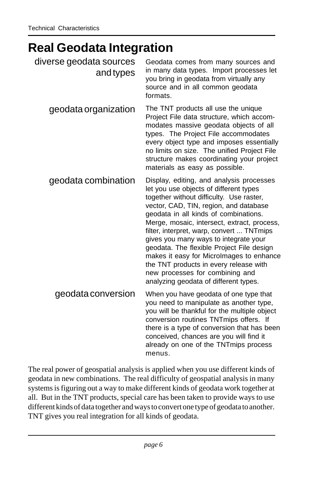## **Real Geodata Integration**

| diverse geodata sources<br>and types | Geodata comes from many sources and<br>in many data types. Import processes let<br>you bring in geodata from virtually any<br>source and in all common geodata<br>formats.                                                                                                                                                                                                                                                                                                                                                                                            |
|--------------------------------------|-----------------------------------------------------------------------------------------------------------------------------------------------------------------------------------------------------------------------------------------------------------------------------------------------------------------------------------------------------------------------------------------------------------------------------------------------------------------------------------------------------------------------------------------------------------------------|
| geodata organization                 | The TNT products all use the unique<br>Project File data structure, which accom-<br>modates massive geodata objects of all<br>types. The Project File accommodates<br>every object type and imposes essentially<br>no limits on size. The unified Project File<br>structure makes coordinating your project<br>materials as easy as possible.                                                                                                                                                                                                                         |
| geodata combination                  | Display, editing, and analysis processes<br>let you use objects of different types<br>together without difficulty. Use raster,<br>vector, CAD, TIN, region, and database<br>geodata in all kinds of combinations.<br>Merge, mosaic, intersect, extract, process,<br>filter, interpret, warp, convert  TNTmips<br>gives you many ways to integrate your<br>geodata. The flexible Project File design<br>makes it easy for Microlmages to enhance<br>the TNT products in every release with<br>new processes for combining and<br>analyzing geodata of different types. |
| geodata conversion                   | When you have geodata of one type that<br>you need to manipulate as another type,<br>you will be thankful for the multiple object<br>conversion routines TNTmips offers. If<br>there is a type of conversion that has been<br>conceived, chances are you will find it<br>already on one of the TNTmips process<br>menus.                                                                                                                                                                                                                                              |

The real power of geospatial analysis is applied when you use different kinds of geodata in new combinations. The real difficulty of geospatial analysis in many systems is figuring out a way to make different kinds of geodata work together at all. But in the TNT products, special care has been taken to provide ways to use different kinds of data together and ways to convert one type of geodata to another. TNT gives you real integration for all kinds of geodata.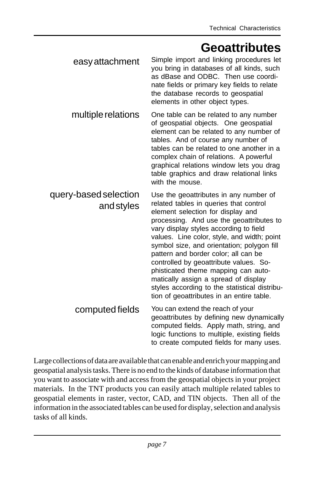#### **Geoattributes**

| easy attachment                     | Simple import and linking procedures let<br>you bring in databases of all kinds, such<br>as dBase and ODBC. Then use coordi-<br>nate fields or primary key fields to relate<br>the database records to geospatial<br>elements in other object types.                                                                                                                                                                                                                                                                                                                    |
|-------------------------------------|-------------------------------------------------------------------------------------------------------------------------------------------------------------------------------------------------------------------------------------------------------------------------------------------------------------------------------------------------------------------------------------------------------------------------------------------------------------------------------------------------------------------------------------------------------------------------|
| multiple relations                  | One table can be related to any number<br>of geospatial objects. One geospatial<br>element can be related to any number of<br>tables. And of course any number of<br>tables can be related to one another in a<br>complex chain of relations. A powerful<br>graphical relations window lets you drag<br>table graphics and draw relational links<br>with the mouse.                                                                                                                                                                                                     |
| query-based selection<br>and styles | Use the geoattributes in any number of<br>related tables in queries that control<br>element selection for display and<br>processing. And use the geoattributes to<br>vary display styles according to field<br>values. Line color, style, and width; point<br>symbol size, and orientation; polygon fill<br>pattern and border color; all can be<br>controlled by geoattribute values. So-<br>phisticated theme mapping can auto-<br>matically assign a spread of display<br>styles according to the statistical distribu-<br>tion of geoattributes in an entire table. |
| computed fields                     | You can extend the reach of your<br>geoattributes by defining new dynamically<br>computed fields. Apply math, string, and<br>logic functions to multiple, existing fields<br>to create computed fields for many uses.                                                                                                                                                                                                                                                                                                                                                   |

Large collections of data are available that can enable and enrich your mapping and geospatial analysis tasks. There is no end to the kinds of database information that you want to associate with and access from the geospatial objects in your project materials. In the TNT products you can easily attach multiple related tables to geospatial elements in raster, vector, CAD, and TIN objects. Then all of the information in the associated tables can be used for display, selection and analysis tasks of all kinds.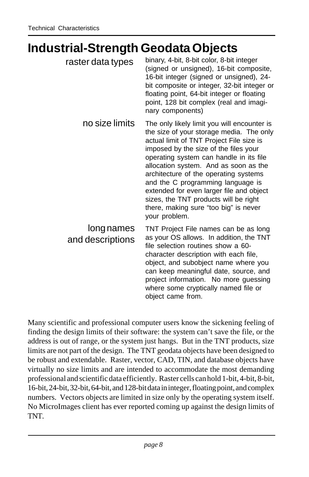#### **Industrial-Strength Geodata Objects**

| raster data types              | binary, 4-bit, 8-bit color, 8-bit integer<br>(signed or unsigned), 16-bit composite,<br>16-bit integer (signed or unsigned), 24-<br>bit composite or integer, 32-bit integer or<br>floating point, 64-bit integer or floating<br>point, 128 bit complex (real and imagi-<br>nary components)                                                                                                                                                                                                  |
|--------------------------------|-----------------------------------------------------------------------------------------------------------------------------------------------------------------------------------------------------------------------------------------------------------------------------------------------------------------------------------------------------------------------------------------------------------------------------------------------------------------------------------------------|
| no size limits                 | The only likely limit you will encounter is<br>the size of your storage media. The only<br>actual limit of TNT Project File size is<br>imposed by the size of the files your<br>operating system can handle in its file<br>allocation system. And as soon as the<br>architecture of the operating systems<br>and the C programming language is<br>extended for even larger file and object<br>sizes, the TNT products will be right<br>there, making sure "too big" is never<br>your problem. |
| long names<br>and descriptions | TNT Project File names can be as long<br>as your OS allows. In addition, the TNT<br>file selection routines show a 60-<br>character description with each file,<br>object, and subobject name where you<br>can keep meaningful date, source, and<br>project information. No more guessing<br>where some cryptically named file or<br>object came from.                                                                                                                                        |

Many scientific and professional computer users know the sickening feeling of finding the design limits of their software: the system can't save the file, or the address is out of range, or the system just hangs. But in the TNT products, size limits are not part of the design. The TNT geodata objects have been designed to be robust and extendable. Raster, vector, CAD, TIN, and database objects have virtually no size limits and are intended to accommodate the most demanding professional and scientific data efficiently. Raster cells can hold 1-bit, 4-bit, 8-bit, 16-bit, 24-bit, 32-bit, 64-bit, and 128-bit data in integer, floating point, and complex numbers. Vectors objects are limited in size only by the operating system itself. No MicroImages client has ever reported coming up against the design limits of TNT.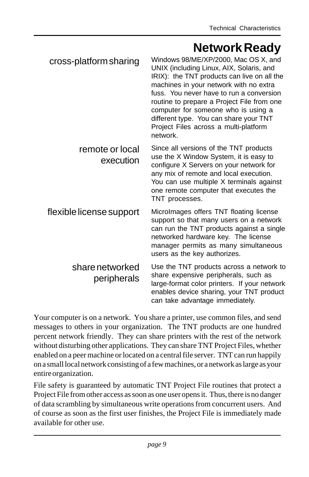#### **Network Ready**

| cross-platform sharing         | Windows 98/ME/XP/2000, Mac OS X, and<br>UNIX (including Linux, AIX, Solaris, and<br>IRIX): the TNT products can live on all the<br>machines in your network with no extra<br>fuss. You never have to run a conversion<br>routine to prepare a Project File from one<br>computer for someone who is using a<br>different type. You can share your TNT<br>Project Files across a multi-platform<br>network. |
|--------------------------------|-----------------------------------------------------------------------------------------------------------------------------------------------------------------------------------------------------------------------------------------------------------------------------------------------------------------------------------------------------------------------------------------------------------|
| remote or local<br>execution   | Since all versions of the TNT products<br>use the X Window System, it is easy to<br>configure X Servers on your network for<br>any mix of remote and local execution.<br>You can use multiple X terminals against<br>one remote computer that executes the<br>TNT processes.                                                                                                                              |
| flexible license support       | Microlmages offers TNT floating license<br>support so that many users on a network<br>can run the TNT products against a single<br>networked hardware key. The license<br>manager permits as many simultaneous<br>users as the key authorizes.                                                                                                                                                            |
| share networked<br>peripherals | Use the TNT products across a network to<br>share expensive peripherals, such as<br>large-format color printers. If your network<br>enables device sharing, your TNT product<br>can take advantage immediately.                                                                                                                                                                                           |

Your computer is on a network. You share a printer, use common files, and send messages to others in your organization. The TNT products are one hundred percent network friendly. They can share printers with the rest of the network without disturbing other applications. They can share TNT Project Files, whether enabled on a peer machine or located on a central file server. TNT can run happily on a small local network consisting of a few machines, or a network as large as your entire organization.

File safety is guaranteed by automatic TNT Project File routines that protect a Project File from other access as soon as one user opens it. Thus, there is no danger of data scrambling by simultaneous write operations from concurrent users. And of course as soon as the first user finishes, the Project File is immediately made available for other use.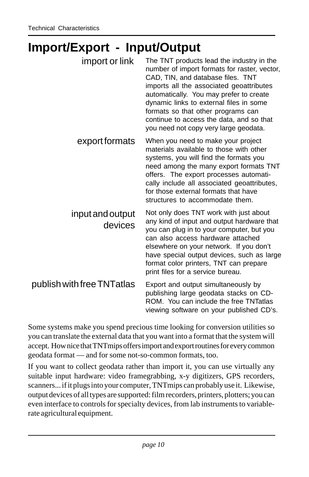#### **Import/Export - Input/Output**

| import or link              | The TNT products lead the industry in the<br>number of import formats for raster, vector,<br>CAD, TIN, and database files. TNT<br>imports all the associated geoattributes<br>automatically. You may prefer to create<br>dynamic links to external files in some<br>formats so that other programs can<br>continue to access the data, and so that<br>you need not copy very large geodata. |
|-----------------------------|---------------------------------------------------------------------------------------------------------------------------------------------------------------------------------------------------------------------------------------------------------------------------------------------------------------------------------------------------------------------------------------------|
| export formats              | When you need to make your project<br>materials available to those with other<br>systems, you will find the formats you<br>need among the many export formats TNT<br>offers. The export processes automati-<br>cally include all associated geoattributes,<br>for those external formats that have<br>structures to accommodate them.                                                       |
| input and output<br>devices | Not only does TNT work with just about<br>any kind of input and output hardware that<br>you can plug in to your computer, but you<br>can also access hardware attached<br>elsewhere on your network. If you don't<br>have special output devices, such as large<br>format color printers, TNT can prepare<br>print files for a service bureau.                                              |
| publish with free TNTatlas  | Export and output simultaneously by<br>publishing large geodata stacks on CD-<br>ROM. You can include the free TNTatlas<br>viewing software on your published CD's.                                                                                                                                                                                                                         |

Some systems make you spend precious time looking for conversion utilities so you can translate the external data that you want into a format that the system will accept. How nice that TNTmips offers import and export routines for every common geodata format — and for some not-so-common formats, too.

If you want to collect geodata rather than import it, you can use virtually any suitable input hardware: video framegrabbing, x-y digitizers, GPS recorders, scanners... if it plugs into your computer, TNTmips can probably use it. Likewise, output devices of all types are supported: film recorders, printers, plotters; you can even interface to controls for specialty devices, from lab instruments to variablerate agricultural equipment.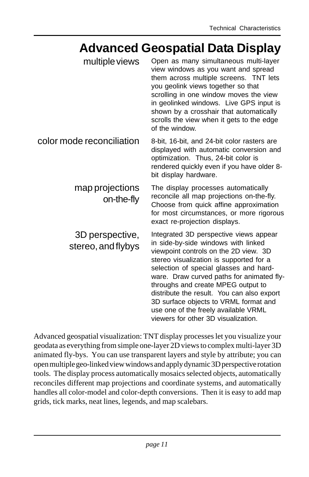#### **Advanced Geospatial Data Display**

| multiple views                        | Open as many simultaneous multi-layer<br>view windows as you want and spread<br>them across multiple screens. TNT lets<br>you geolink views together so that<br>scrolling in one window moves the view<br>in geolinked windows. Live GPS input is<br>shown by a crosshair that automatically<br>scrolls the view when it gets to the edge<br>of the window.                                                                                                          |
|---------------------------------------|----------------------------------------------------------------------------------------------------------------------------------------------------------------------------------------------------------------------------------------------------------------------------------------------------------------------------------------------------------------------------------------------------------------------------------------------------------------------|
| color mode reconciliation             | 8-bit, 16-bit, and 24-bit color rasters are<br>displayed with automatic conversion and<br>optimization. Thus, 24-bit color is<br>rendered quickly even if you have older 8-<br>bit display hardware.                                                                                                                                                                                                                                                                 |
| map projections<br>on-the-fly         | The display processes automatically<br>reconcile all map projections on-the-fly.<br>Choose from quick affine approximation<br>for most circumstances, or more rigorous<br>exact re-projection displays.                                                                                                                                                                                                                                                              |
| 3D perspective,<br>stereo, and flybys | Integrated 3D perspective views appear<br>in side-by-side windows with linked<br>viewpoint controls on the 2D view. 3D<br>stereo visualization is supported for a<br>selection of special glasses and hard-<br>ware. Draw curved paths for animated fly-<br>throughs and create MPEG output to<br>distribute the result. You can also export<br>3D surface objects to VRML format and<br>use one of the freely available VRML<br>viewers for other 3D visualization. |

Advanced geospatial visualization: TNT display processes let you visualize your geodata as everything from simple one-layer 2D views to complex multi-layer 3D animated fly-bys. You can use transparent layers and style by attribute; you can open multiple geo-linked view windows and apply dynamic 3D perspective rotation tools. The display process automatically mosaics selected objects, automatically reconciles different map projections and coordinate systems, and automatically handles all color-model and color-depth conversions. Then it is easy to add map grids, tick marks, neat lines, legends, and map scalebars.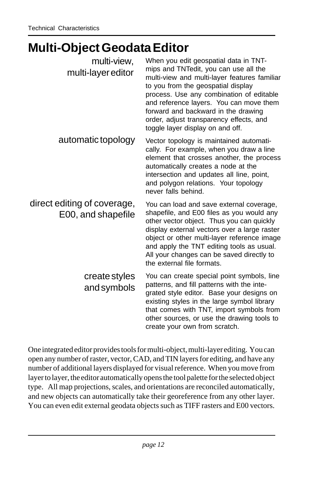#### **Multi-Object Geodata Editor**

| multi-view,<br>multi-layer editor                 | When you edit geospatial data in TNT-<br>mips and TNTedit, you can use all the<br>multi-view and multi-layer features familiar<br>to you from the geospatial display<br>process. Use any combination of editable<br>and reference layers. You can move them<br>forward and backward in the drawing<br>order, adjust transparency effects, and<br>toggle layer display on and off. |
|---------------------------------------------------|-----------------------------------------------------------------------------------------------------------------------------------------------------------------------------------------------------------------------------------------------------------------------------------------------------------------------------------------------------------------------------------|
| automatic topology                                | Vector topology is maintained automati-<br>cally. For example, when you draw a line<br>element that crosses another, the process<br>automatically creates a node at the<br>intersection and updates all line, point,<br>and polygon relations. Your topology<br>never falls behind.                                                                                               |
| direct editing of coverage,<br>E00, and shapefile | You can load and save external coverage,<br>shapefile, and E00 files as you would any<br>other vector object. Thus you can quickly<br>display external vectors over a large raster<br>object or other multi-layer reference image<br>and apply the TNT editing tools as usual.<br>All your changes can be saved directly to<br>the external file formats.                         |
| create styles<br>and symbols                      | You can create special point symbols, line<br>patterns, and fill patterns with the inte-<br>grated style editor. Base your designs on<br>existing styles in the large symbol library<br>that comes with TNT, import symbols from<br>other sources, or use the drawing tools to<br>create your own from scratch.                                                                   |

One integrated editor provides tools for multi-object, multi-layer editing. You can open any number of raster, vector, CAD, and TIN layers for editing, and have any number of additional layers displayed for visual reference. When you move from layer to layer, the editor automatically opens the tool palette for the selected object type. All map projections, scales, and orientations are reconciled automatically, and new objects can automatically take their georeference from any other layer. You can even edit external geodata objects such as TIFF rasters and E00 vectors.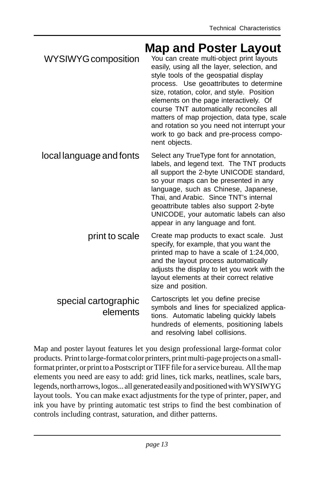| WYSIWYG composition      | <b>Map and Poster Layout</b><br>You can create multi-object print layouts<br>easily, using all the layer, selection, and<br>style tools of the geospatial display<br>process. Use geoattributes to determine<br>size, rotation, color, and style. Position<br>elements on the page interactively. Of<br>course TNT automatically reconciles all<br>matters of map projection, data type, scale<br>and rotation so you need not interrupt your<br>work to go back and pre-process compo-<br>nent objects. |
|--------------------------|----------------------------------------------------------------------------------------------------------------------------------------------------------------------------------------------------------------------------------------------------------------------------------------------------------------------------------------------------------------------------------------------------------------------------------------------------------------------------------------------------------|
| local language and fonts | Select any TrueType font for annotation,<br>labels, and legend text. The TNT products<br>all support the 2-byte UNICODE standard,<br>so your maps can be presented in any<br>language, such as Chinese, Japanese,<br>Thai, and Arabic. Since TNT's internal<br>geoattribute tables also support 2-byte<br>UNICODE, your automatic labels can also<br>appear in any language and font.                                                                                                                    |
|                          |                                                                                                                                                                                                                                                                                                                                                                                                                                                                                                          |

print to scale Create map products to exact scale. Just specify, for example, that you want the printed map to have a scale of 1:24,000, and the layout process automatically adjusts the display to let you work with the layout elements at their correct relative size and position.

#### special cartographic elements Cartoscripts let you define precise symbols and lines for specialized applications. Automatic labeling quickly labels hundreds of elements, positioning labels and resolving label collisions.

Map and poster layout features let you design professional large-format color products. Print to large-format color printers, print multi-page projects on a smallformat printer, or print to a Postscript or TIFF file for a service bureau. All the map elements you need are easy to add: grid lines, tick marks, neatlines, scale bars, legends, north arrows, logos... all generated easily and positioned with WYSIWYG layout tools. You can make exact adjustments for the type of printer, paper, and ink you have by printing automatic test strips to find the best combination of controls including contrast, saturation, and dither patterns.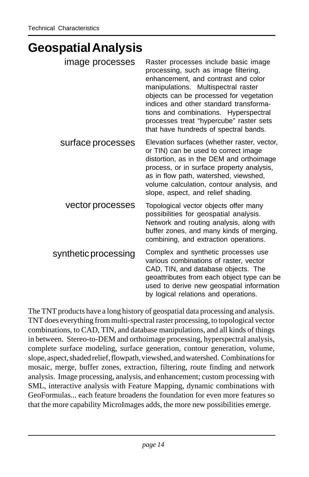#### **Geospatial Analysis**

| image processes      | Raster processes include basic image<br>processing, such as image filtering,<br>enhancement, and contrast and color<br>manipulations. Multispectral raster<br>objects can be processed for vegetation<br>indices and other standard transforma-<br>tions and combinations. Hyperspectral<br>processes treat "hypercube" raster sets<br>that have hundreds of spectral bands. |
|----------------------|------------------------------------------------------------------------------------------------------------------------------------------------------------------------------------------------------------------------------------------------------------------------------------------------------------------------------------------------------------------------------|
| surface processes    | Elevation surfaces (whether raster, vector,<br>or TIN) can be used to correct image<br>distortion, as in the DEM and orthoimage<br>process, or in surface property analysis,<br>as in flow path, watershed, viewshed,<br>volume calculation, contour analysis, and<br>slope, aspect, and relief shading.                                                                     |
| vector processes     | Topological vector objects offer many<br>possibilities for geospatial analysis.<br>Network and routing analysis, along with<br>buffer zones, and many kinds of merging,<br>combining, and extraction operations.                                                                                                                                                             |
| synthetic processing | Complex and synthetic processes use<br>various combinations of raster, vector<br>CAD, TIN, and database objects. The<br>geoattributes from each object type can be<br>used to derive new geospatial information<br>by logical relations and operations.                                                                                                                      |

The TNT products have a long history of geospatial data processing and analysis. TNT does everything from multi-spectral raster processing, to topological vector combinations, to CAD, TIN, and database manipulations, and all kinds of things in between. Stereo-to-DEM and orthoimage processing, hyperspectral analysis, complete surface modeling, surface generation, contour generation, volume, slope, aspect, shaded relief, flowpath, viewshed, and watershed. Combinations for mosaic, merge, buffer zones, extraction, filtering, route finding and network analysis. Image processing, analysis, and enhancement; custom processing with SML, interactive analysis with Feature Mapping, dynamic combinations with GeoFormulas... each feature broadens the foundation for even more features so that the more capability MicroImages adds, the more new possibilities emerge.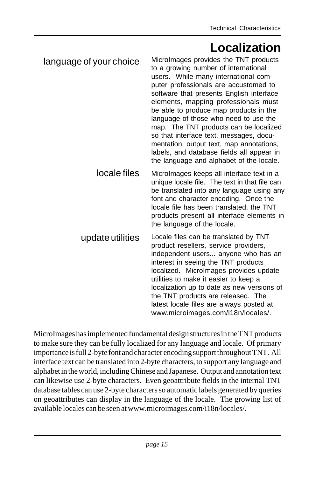#### **Localization**

| language of your choice | Microlmages provides the TNT products<br>to a growing number of international<br>users. While many international com-<br>puter professionals are accustomed to<br>software that presents English interface<br>elements, mapping professionals must<br>be able to produce map products in the<br>language of those who need to use the<br>map. The TNT products can be localized<br>so that interface text, messages, docu-<br>mentation, output text, map annotations,<br>labels, and database fields all appear in<br>the language and alphabet of the locale. |
|-------------------------|-----------------------------------------------------------------------------------------------------------------------------------------------------------------------------------------------------------------------------------------------------------------------------------------------------------------------------------------------------------------------------------------------------------------------------------------------------------------------------------------------------------------------------------------------------------------|
| locale files            | Microlmages keeps all interface text in a<br>unique locale file. The text in that file can<br>be translated into any language using any<br>font and character encoding. Once the<br>locale file has been translated, the TNT<br>products present all interface elements in<br>the language of the locale.                                                                                                                                                                                                                                                       |
| update utilities        | Locale files can be translated by TNT<br>product resellers, service providers,<br>independent users anyone who has an<br>interest in seeing the TNT products<br>localized. Microlmages provides update<br>utilities to make it easier to keep a<br>localization up to date as new versions of<br>the TNT products are released. The<br>latest locale files are always posted at<br>www.microimages.com/i18n/locales/.                                                                                                                                           |

MicroImages has implemented fundamental design structures in the TNT products to make sure they can be fully localized for any language and locale. Of primary importance is full 2-byte font and character encoding support throughout TNT. All interface text can be translated into 2-byte characters, to support any language and alphabet in the world, including Chinese and Japanese. Output and annotation text can likewise use 2-byte characters. Even geoattribute fields in the internal TNT database tables can use 2-byte characters so automatic labels generated by queries on geoattributes can display in the language of the locale. The growing list of available locales can be seen at www.microimages.com/i18n/locales/.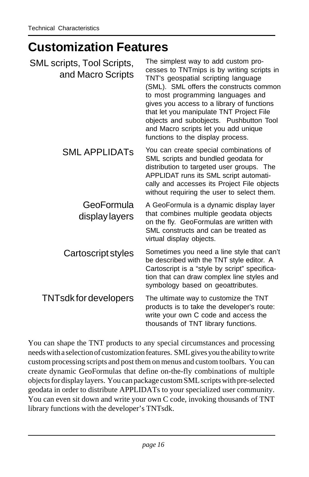#### **Customization Features**

| SML scripts, Tool Scripts,<br>and Macro Scripts | The simplest way to add custom pro-<br>cesses to TNTmips is by writing scripts in<br>TNT's geospatial scripting language<br>(SML). SML offers the constructs common<br>to most programming languages and<br>gives you access to a library of functions<br>that let you manipulate TNT Project File<br>objects and subobjects. Pushbutton Tool<br>and Macro scripts let you add unique<br>functions to the display process. |
|-------------------------------------------------|----------------------------------------------------------------------------------------------------------------------------------------------------------------------------------------------------------------------------------------------------------------------------------------------------------------------------------------------------------------------------------------------------------------------------|
| <b>SML APPLIDATS</b>                            | You can create special combinations of<br>SML scripts and bundled geodata for<br>distribution to targeted user groups. The<br>APPLIDAT runs its SML script automati-<br>cally and accesses its Project File objects<br>without requiring the user to select them.                                                                                                                                                          |
| GeoFormula<br>display layers                    | A GeoFormula is a dynamic display layer<br>that combines multiple geodata objects<br>on the fly. GeoFormulas are written with<br>SML constructs and can be treated as<br>virtual display objects.                                                                                                                                                                                                                          |
| Cartoscript styles                              | Sometimes you need a line style that can't<br>be described with the TNT style editor. A<br>Cartoscript is a "style by script" specifica-<br>tion that can draw complex line styles and<br>symbology based on geoattributes.                                                                                                                                                                                                |
| <b>TNTsdk for developers</b>                    | The ultimate way to customize the TNT<br>products is to take the developer's route:<br>write your own C code and access the<br>thousands of TNT library functions.                                                                                                                                                                                                                                                         |

You can shape the TNT products to any special circumstances and processing needs with a selection of customization features. SML gives you the ability to write custom processing scripts and post them on menus and custom toolbars. You can create dynamic GeoFormulas that define on-the-fly combinations of multiple objects for display layers. You can package custom SML scripts with pre-selected geodata in order to distribute APPLIDATs to your specialized user community. You can even sit down and write your own C code, invoking thousands of TNT library functions with the developer's TNTsdk.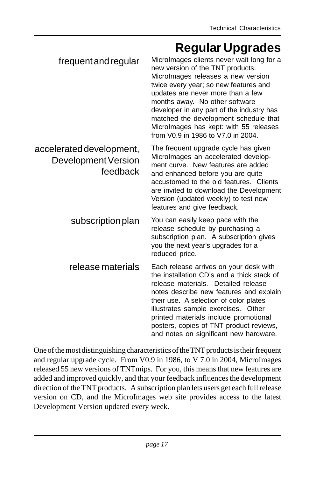#### **Regular Upgrades**

|                                                             | $\sim$ gana $\sim$ pgian                                                                                                                                                                                                                                                                                                                                                                                  |
|-------------------------------------------------------------|-----------------------------------------------------------------------------------------------------------------------------------------------------------------------------------------------------------------------------------------------------------------------------------------------------------------------------------------------------------------------------------------------------------|
| frequent and regular                                        | Microlmages clients never wait long for a<br>new version of the TNT products.<br>Microlmages releases a new version<br>twice every year; so new features and<br>updates are never more than a few<br>months away. No other software<br>developer in any part of the industry has<br>matched the development schedule that<br>Microlmages has kept: with 55 releases<br>from V0.9 in 1986 to V7.0 in 2004. |
| accelerated development,<br>Development Version<br>feedback | The frequent upgrade cycle has given<br>Microlmages an accelerated develop-<br>ment curve. New features are added<br>and enhanced before you are quite<br>accustomed to the old features. Clients<br>are invited to download the Development<br>Version (updated weekly) to test new<br>features and give feedback.                                                                                       |
| subscription plan                                           | You can easily keep pace with the<br>release schedule by purchasing a<br>subscription plan. A subscription gives<br>you the next year's upgrades for a<br>reduced price.                                                                                                                                                                                                                                  |
| release materials                                           | Each release arrives on your desk with<br>the installation CD's and a thick stack of<br>release materials. Detailed release<br>notes describe new features and explain<br>their use. A selection of color plates<br>illustrates sample exercises. Other<br>printed materials include promotional<br>posters, copies of TNT product reviews,<br>and notes on significant new hardware.                     |

One of the most distinguishing characteristics of the TNT products is their frequent and regular upgrade cycle. From V0.9 in 1986, to V 7.0 in 2004, MicroImages released 55 new versions of TNTmips. For you, this means that new features are added and improved quickly, and that your feedback influences the development direction of the TNT products. A subscription plan lets users get each full release version on CD, and the MicroImages web site provides access to the latest Development Version updated every week.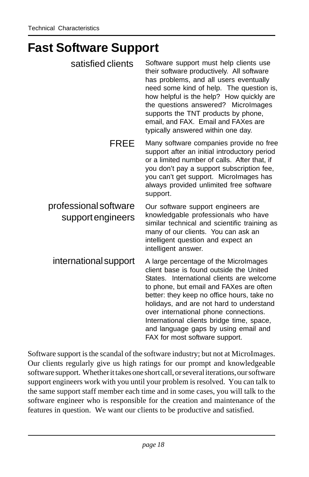#### **Fast Software Support**

| satisfied clients                          | Software support must help clients use<br>their software productively. All software<br>has problems, and all users eventually<br>need some kind of help. The question is,<br>how helpful is the help? How quickly are<br>the questions answered? Microlmages<br>supports the TNT products by phone,<br>email, and FAX. Email and FAXes are<br>typically answered within one day.                                                   |
|--------------------------------------------|------------------------------------------------------------------------------------------------------------------------------------------------------------------------------------------------------------------------------------------------------------------------------------------------------------------------------------------------------------------------------------------------------------------------------------|
| <b>FREE</b>                                | Many software companies provide no free<br>support after an initial introductory period<br>or a limited number of calls. After that, if<br>you don't pay a support subscription fee,<br>you can't get support. Microlmages has<br>always provided unlimited free software<br>support.                                                                                                                                              |
| professional software<br>support engineers | Our software support engineers are<br>knowledgable professionals who have<br>similar technical and scientific training as<br>many of our clients. You can ask an<br>intelligent question and expect an<br>intelligent answer.                                                                                                                                                                                                      |
| international support                      | A large percentage of the Microlmages<br>client base is found outside the United<br>States. International clients are welcome<br>to phone, but email and FAXes are often<br>better: they keep no office hours, take no<br>holidays, and are not hard to understand<br>over international phone connections.<br>International clients bridge time, space,<br>and language gaps by using email and<br>FAX for most software support. |

Software support is the scandal of the software industry; but not at MicroImages. Our clients regularly give us high ratings for our prompt and knowledgeable software support. Whether it takes one short call, or several iterations, our software support engineers work with you until your problem is resolved. You can talk to the same support staff member each time and in some cases, you will talk to the software engineer who is responsible for the creation and maintenance of the features in question. We want our clients to be productive and satisfied.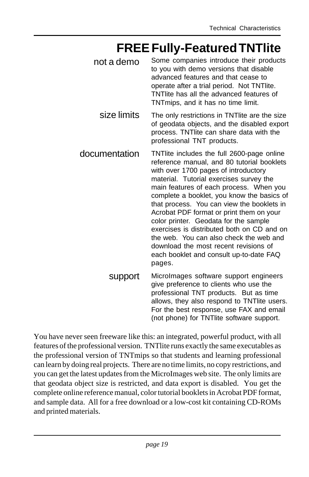#### **FREE Fully-Featured TNTlite**

- Some companies introduce their products to you with demo versions that disable advanced features and that cease to operate after a trial period. Not TNTlite. TNTlite has all the advanced features of TNTmips, and it has no time limit. not a demo
	- The only restrictions in TNTlite are the size of geodata objects, and the disabled export process. TNTlite can share data with the professional TNT products. size limits
- TNTlite includes the full 2600-page online reference manual, and 80 tutorial booklets with over 1700 pages of introductory material. Tutorial exercises survey the main features of each process. When you complete a booklet, you know the basics of that process. You can view the booklets in Acrobat PDF format or print them on your color printer. Geodata for the sample exercises is distributed both on CD and on the web. You can also check the web and download the most recent revisions of each booklet and consult up-to-date FAQ pages. documentation
	- MicroImages software support engineers give preference to clients who use the professional TNT products. But as time allows, they also respond to TNTlite users. For the best response, use FAX and email (not phone) for TNTlite software support. support

You have never seen freeware like this: an integrated, powerful product, with all features of the professional version. TNTlite runs exactly the same executables as the professional version of TNTmips so that students and learning professional can learn by doing real projects. There are no time limits, no copy restrictions, and you can get the latest updates from the MicroImages web site. The only limits are that geodata object size is restricted, and data export is disabled. You get the complete online reference manual, color tutorial booklets in Acrobat PDF format, and sample data. All for a free download or a low-cost kit containing CD-ROMs and printed materials.